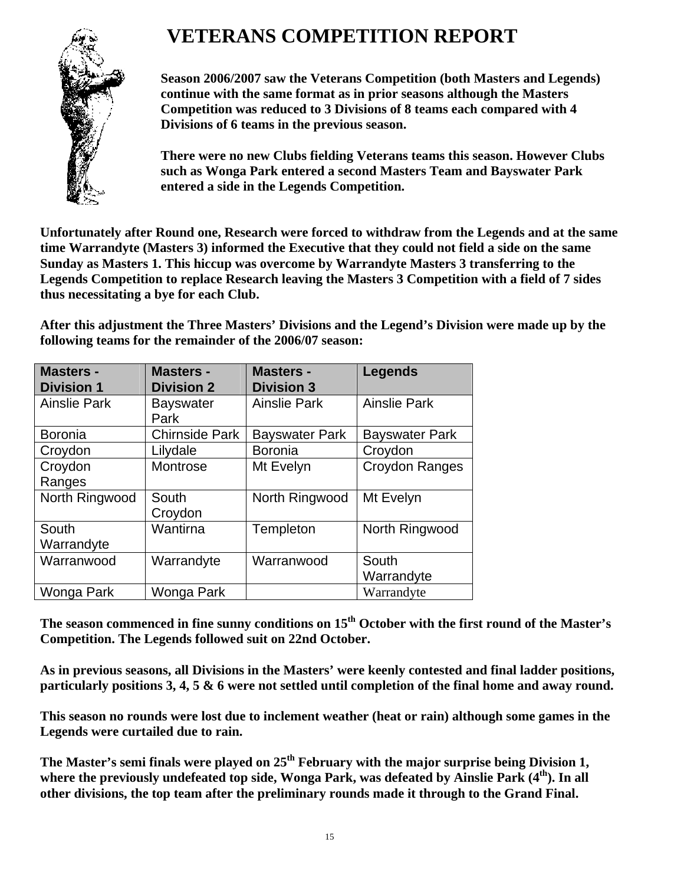# **VETERANS COMPETITION REPORT**



**Season 2006/2007 saw the Veterans Competition (both Masters and Legends) continue with the same format as in prior seasons although the Masters Competition was reduced to 3 Divisions of 8 teams each compared with 4 Divisions of 6 teams in the previous season.** 

**There were no new Clubs fielding Veterans teams this season. However Clubs such as Wonga Park entered a second Masters Team and Bayswater Park entered a side in the Legends Competition.** 

**Unfortunately after Round one, Research were forced to withdraw from the Legends and at the same time Warrandyte (Masters 3) informed the Executive that they could not field a side on the same Sunday as Masters 1. This hiccup was overcome by Warrandyte Masters 3 transferring to the Legends Competition to replace Research leaving the Masters 3 Competition with a field of 7 sides thus necessitating a bye for each Club.** 

**After this adjustment the Three Masters' Divisions and the Legend's Division were made up by the following teams for the remainder of the 2006/07 season:** 

| <b>Masters -</b>    | <b>Masters -</b>      | <b>Masters -</b>      | <b>Legends</b>        |
|---------------------|-----------------------|-----------------------|-----------------------|
| <b>Division 1</b>   | <b>Division 2</b>     | <b>Division 3</b>     |                       |
| <b>Ainslie Park</b> | <b>Bayswater</b>      | <b>Ainslie Park</b>   | <b>Ainslie Park</b>   |
|                     | Park                  |                       |                       |
| <b>Boronia</b>      | <b>Chirnside Park</b> | <b>Bayswater Park</b> | <b>Bayswater Park</b> |
| Croydon             | Lilydale              | <b>Boronia</b>        | Croydon               |
| Croydon             | Montrose              | Mt Evelyn             | Croydon Ranges        |
| Ranges              |                       |                       |                       |
| North Ringwood      | South                 | North Ringwood        | Mt Evelyn             |
|                     | Croydon               |                       |                       |
| South               | Wantirna              | Templeton             | North Ringwood        |
| Warrandyte          |                       |                       |                       |
| Warranwood          | Warrandyte            | Warranwood            | South                 |
|                     |                       |                       | Warrandyte            |
| Wonga Park          | Wonga Park            |                       | Warrandyte            |

**The season commenced in fine sunny conditions on 15th October with the first round of the Master's Competition. The Legends followed suit on 22nd October.** 

**As in previous seasons, all Divisions in the Masters' were keenly contested and final ladder positions, particularly positions 3, 4, 5 & 6 were not settled until completion of the final home and away round.** 

**This season no rounds were lost due to inclement weather (heat or rain) although some games in the Legends were curtailed due to rain.** 

The Master's semi finals were played on 25<sup>th</sup> February with the major surprise being Division 1, **where the previously undefeated top side, Wonga Park, was defeated by Ainslie Park (4th). In all other divisions, the top team after the preliminary rounds made it through to the Grand Final.**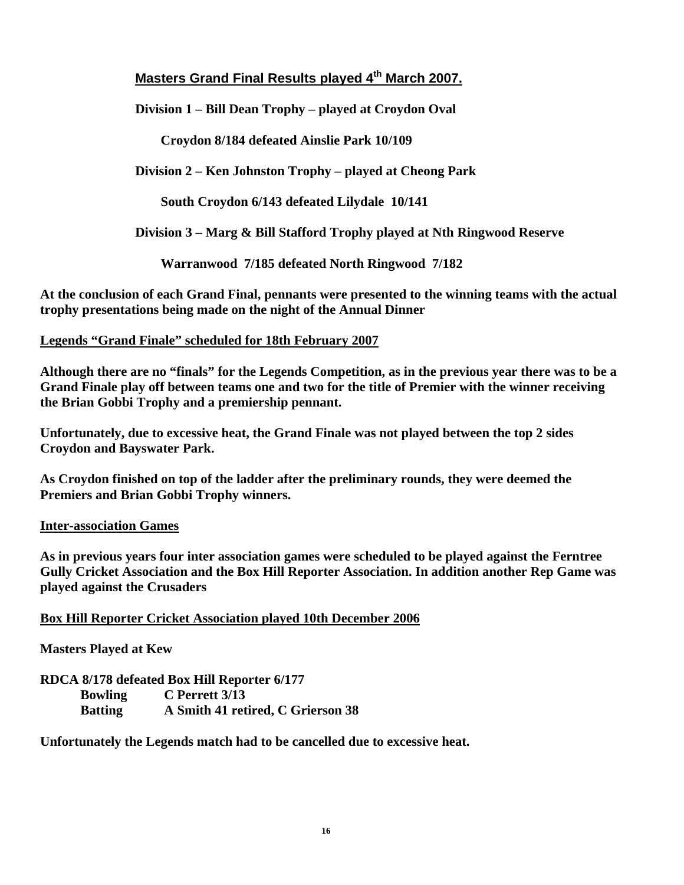## Masters Grand Final Results played 4<sup>th</sup> March 2007.

**Division 1 – Bill Dean Trophy – played at Croydon Oval** 

**Croydon 8/184 defeated Ainslie Park 10/109** 

**Division 2 – Ken Johnston Trophy – played at Cheong Park** 

**South Croydon 6/143 defeated Lilydale 10/141**

**Division 3 – Marg & Bill Stafford Trophy played at Nth Ringwood Reserve** 

**Warranwood 7/185 defeated North Ringwood 7/182**

**At the conclusion of each Grand Final, pennants were presented to the winning teams with the actual trophy presentations being made on the night of the Annual Dinner** 

#### **Legends "Grand Finale" scheduled for 18th February 2007**

**Although there are no "finals" for the Legends Competition, as in the previous year there was to be a Grand Finale play off between teams one and two for the title of Premier with the winner receiving the Brian Gobbi Trophy and a premiership pennant.** 

**Unfortunately, due to excessive heat, the Grand Finale was not played between the top 2 sides Croydon and Bayswater Park.** 

**As Croydon finished on top of the ladder after the preliminary rounds, they were deemed the Premiers and Brian Gobbi Trophy winners.** 

#### **Inter-association Games**

**As in previous years four inter association games were scheduled to be played against the Ferntree Gully Cricket Association and the Box Hill Reporter Association. In addition another Rep Game was played against the Crusaders** 

#### **Box Hill Reporter Cricket Association played 10th December 2006**

**Masters Played at Kew** 

**RDCA 8/178 defeated Box Hill Reporter 6/177 Bowling C Perrett 3/13 Batting A Smith 41 retired, C Grierson 38** 

**Unfortunately the Legends match had to be cancelled due to excessive heat.**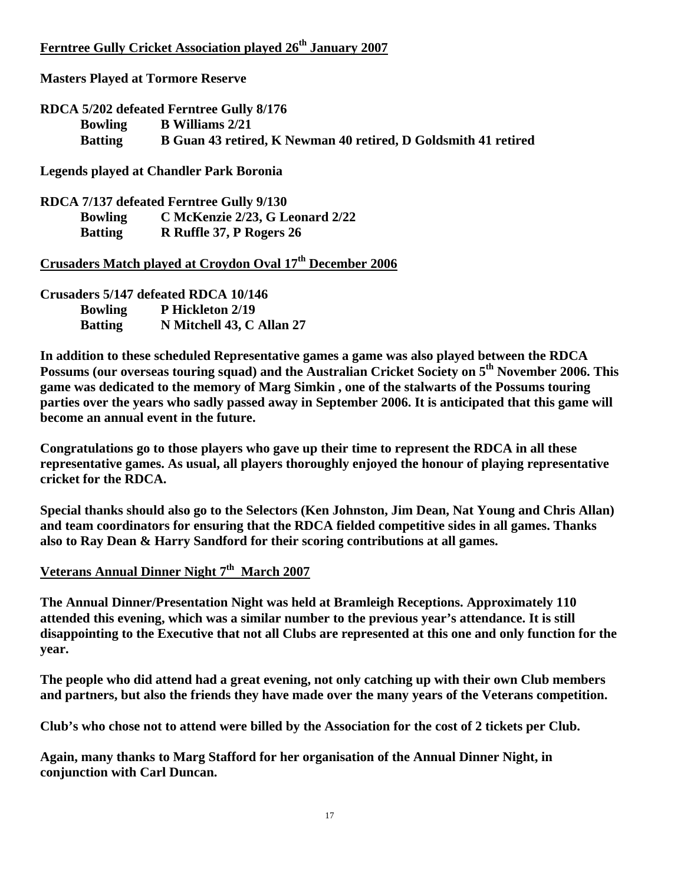## **Ferntree Gully Cricket Association played 26th January 2007**

**Masters Played at Tormore Reserve** 

**RDCA 5/202 defeated Ferntree Gully 8/176 Bowling B Williams 2/21 Batting B Guan 43 retired, K Newman 40 retired, D Goldsmith 41 retired** 

**Legends played at Chandler Park Boronia** 

**RDCA 7/137 defeated Ferntree Gully 9/130 Bowling C McKenzie 2/23, G Leonard 2/22 Batting R Ruffle 37, P Rogers 26** 

**Crusaders Match played at Croydon Oval 17th December 2006**

**Crusaders 5/147 defeated RDCA 10/146 Bowling P Hickleton 2/19 Batting N Mitchell 43, C Allan 27** 

**In addition to these scheduled Representative games a game was also played between the RDCA Possums (our overseas touring squad) and the Australian Cricket Society on 5th November 2006. This game was dedicated to the memory of Marg Simkin , one of the stalwarts of the Possums touring parties over the years who sadly passed away in September 2006. It is anticipated that this game will become an annual event in the future.** 

**Congratulations go to those players who gave up their time to represent the RDCA in all these representative games. As usual, all players thoroughly enjoyed the honour of playing representative cricket for the RDCA.** 

**Special thanks should also go to the Selectors (Ken Johnston, Jim Dean, Nat Young and Chris Allan) and team coordinators for ensuring that the RDCA fielded competitive sides in all games. Thanks also to Ray Dean & Harry Sandford for their scoring contributions at all games.** 

# Veterans Annual Dinner Night 7<sup>th</sup> March 2007

**The Annual Dinner/Presentation Night was held at Bramleigh Receptions. Approximately 110 attended this evening, which was a similar number to the previous year's attendance. It is still disappointing to the Executive that not all Clubs are represented at this one and only function for the year.** 

**The people who did attend had a great evening, not only catching up with their own Club members and partners, but also the friends they have made over the many years of the Veterans competition.** 

**Club's who chose not to attend were billed by the Association for the cost of 2 tickets per Club.** 

**Again, many thanks to Marg Stafford for her organisation of the Annual Dinner Night, in conjunction with Carl Duncan.**